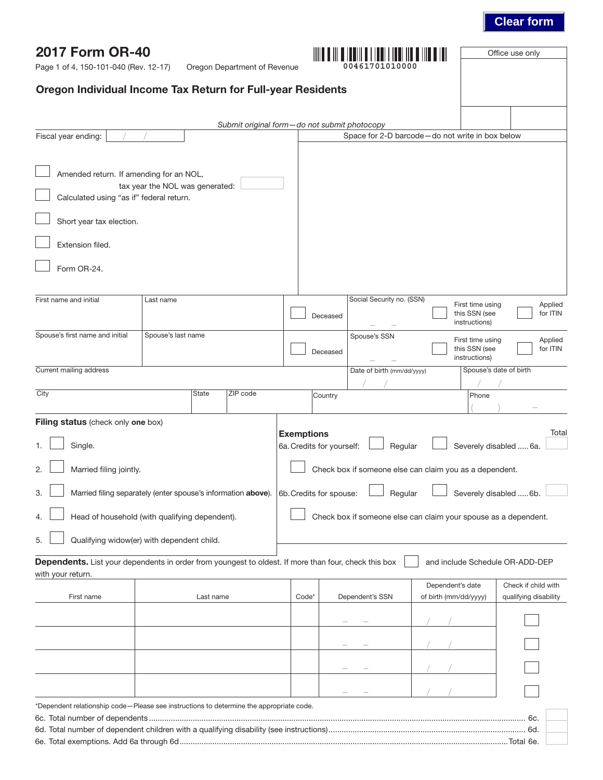## **Clear form**

Office use only

|  | <b>2017 Form OR-40</b> |
|--|------------------------|
|  |                        |

Page 1 of 4, 150-101-040 (Rev. 12-17) Oregon Department of Revenue

| 00461701010000 |  |  |
|----------------|--|--|

## Oregon Individual Income Tax Return for Full-year Residents

|                                                                                                      |                                 | Submit original form-do not submit photocopy                  |                                                              |                           |                            |                                                                 |                                 |
|------------------------------------------------------------------------------------------------------|---------------------------------|---------------------------------------------------------------|--------------------------------------------------------------|---------------------------|----------------------------|-----------------------------------------------------------------|---------------------------------|
| Fiscal year ending:                                                                                  |                                 |                                                               |                                                              |                           |                            | Space for 2-D barcode-do not write in box below                 |                                 |
|                                                                                                      |                                 |                                                               |                                                              |                           |                            |                                                                 |                                 |
| Amended return. If amending for an NOL,                                                              | tax year the NOL was generated: |                                                               |                                                              |                           |                            |                                                                 |                                 |
| Calculated using "as if" federal return.                                                             |                                 |                                                               |                                                              |                           |                            |                                                                 |                                 |
| Short year tax election.                                                                             |                                 |                                                               |                                                              |                           |                            |                                                                 |                                 |
| Extension filed.                                                                                     |                                 |                                                               |                                                              |                           |                            |                                                                 |                                 |
| Form OR-24.                                                                                          |                                 |                                                               |                                                              |                           |                            |                                                                 |                                 |
|                                                                                                      |                                 |                                                               |                                                              |                           |                            |                                                                 |                                 |
| First name and initial                                                                               | Last name                       |                                                               |                                                              | Deceased                  | Social Security no. (SSN)  | First time using<br>this SSN (see<br>instructions)              | Applied<br>for ITIN             |
| Spouse's first name and initial                                                                      | Spouse's last name              |                                                               |                                                              |                           | Spouse's SSN               | First time using                                                | Applied                         |
|                                                                                                      |                                 |                                                               |                                                              | Deceased                  |                            | this SSN (see<br>instructions)                                  | for ITIN                        |
| Current mailing address                                                                              |                                 |                                                               |                                                              |                           | Date of birth (mm/dd/yyyy) |                                                                 | Spouse's date of birth          |
| City                                                                                                 |                                 | ZIP code<br><b>State</b>                                      |                                                              |                           |                            | Phone                                                           |                                 |
|                                                                                                      |                                 |                                                               |                                                              | Country                   |                            |                                                                 |                                 |
| Filing status (check only one box)                                                                   |                                 |                                                               |                                                              |                           |                            |                                                                 |                                 |
| Single.                                                                                              |                                 |                                                               | <b>Exemptions</b>                                            | 6a. Credits for yourself: | Regular                    |                                                                 | Total<br>Severely disabled  6a. |
| Married filing jointly.<br>2                                                                         |                                 |                                                               |                                                              |                           |                            | Check box if someone else can claim you as a dependent.         |                                 |
| 3.                                                                                                   |                                 | Married filing separately (enter spouse's information above). | Severely disabled  6b.<br>6b. Credits for spouse:<br>Regular |                           |                            |                                                                 |                                 |
| Head of household (with qualifying dependent).                                                       |                                 |                                                               |                                                              |                           |                            | Check box if someone else can claim your spouse as a dependent. |                                 |
| 5. <b>Qualifying widow(er) with dependent child.</b>                                                 |                                 |                                                               |                                                              |                           |                            |                                                                 |                                 |
| Dependents. List your dependents in order from youngest to oldest. If more than four, check this box |                                 |                                                               |                                                              |                           |                            | and include Schedule OR-ADD-DEP                                 |                                 |
| with your return.                                                                                    |                                 |                                                               |                                                              |                           |                            | Dependent's date                                                | Check if child with             |
| First name                                                                                           |                                 | Last name                                                     | Code*                                                        |                           | Dependent's SSN            | of birth (mm/dd/yyyy)                                           | qualifying disability           |
|                                                                                                      |                                 |                                                               |                                                              |                           |                            |                                                                 |                                 |
|                                                                                                      |                                 |                                                               |                                                              |                           |                            |                                                                 |                                 |
|                                                                                                      |                                 |                                                               |                                                              |                           |                            |                                                                 |                                 |
|                                                                                                      |                                 |                                                               |                                                              |                           |                            |                                                                 |                                 |
|                                                                                                      |                                 |                                                               |                                                              |                           |                            |                                                                 |                                 |
| *Dependent relationship code-Please see instructions to determine the appropriate code.              |                                 |                                                               |                                                              |                           |                            |                                                                 |                                 |
|                                                                                                      |                                 |                                                               |                                                              |                           |                            |                                                                 |                                 |
|                                                                                                      |                                 |                                                               |                                                              |                           |                            |                                                                 |                                 |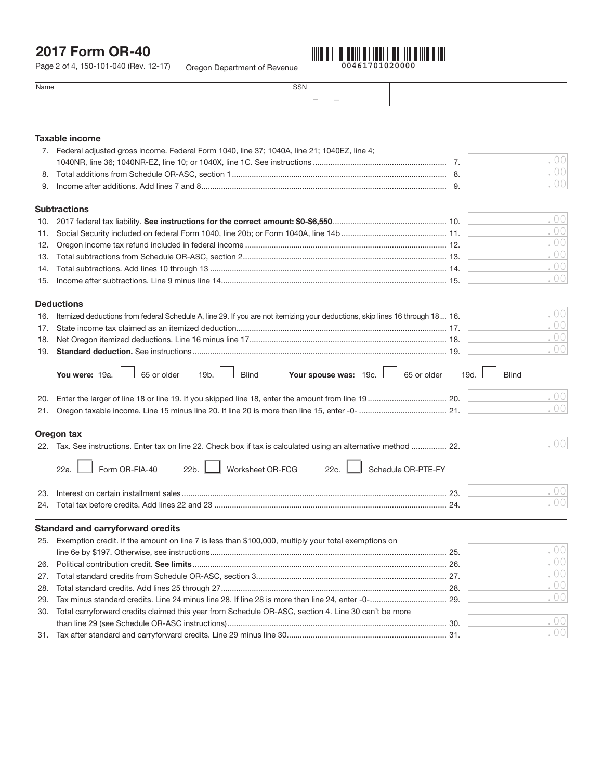# 2017 Form OR-40

Oregon Department of Revenue Page 2 of 4, 150-101-040 (Rev. 12-17)



| Name | SSN           |  |
|------|---------------|--|
|      | $\sim$<br>___ |  |
|      |               |  |

## Taxable income

|     | 7. Federal adjusted gross income. Federal Form 1040, line 37; 1040A, line 21; 1040EZ, line 4;                                |                      |        |
|-----|------------------------------------------------------------------------------------------------------------------------------|----------------------|--------|
|     |                                                                                                                              |                      | .00    |
| 8.  |                                                                                                                              |                      | . $00$ |
| 9.  |                                                                                                                              |                      | .00    |
|     | <b>Subtractions</b>                                                                                                          |                      |        |
|     |                                                                                                                              |                      | .00    |
| 11. |                                                                                                                              |                      | .00    |
| 12. |                                                                                                                              |                      | .00    |
| 13. |                                                                                                                              |                      | .00    |
| 14. |                                                                                                                              |                      | . $00$ |
| 15. |                                                                                                                              |                      | .00    |
|     | <b>Deductions</b>                                                                                                            |                      |        |
| 16. | Itemized deductions from federal Schedule A, line 29. If you are not itemizing your deductions, skip lines 16 through 18 16. |                      | .00    |
| 17. |                                                                                                                              |                      | . $00$ |
| 18. |                                                                                                                              |                      | .00    |
| 19. |                                                                                                                              |                      | .00    |
|     | 65 or older<br><b>Blind</b><br>Your spouse was: 19c.<br>65 or older<br>You were: 19a.<br>19b.                                | <b>Blind</b><br>19d. |        |
| 20. |                                                                                                                              |                      | .00    |
| 21. |                                                                                                                              |                      | .00    |
|     | Oregon tax                                                                                                                   |                      |        |
|     | 22. Tax. See instructions. Enter tax on line 22. Check box if tax is calculated using an alternative method  22.             |                      | .00    |
|     | Schedule OR-PTE-FY<br>Form OR-FIA-40<br>22b.<br>Worksheet OR-FCG<br>22c.<br>22a.                                             |                      |        |
| 23. |                                                                                                                              |                      | .00    |
|     |                                                                                                                              |                      | .00    |
|     | <b>Standard and carryforward credits</b>                                                                                     |                      |        |
| 25. | Exemption credit. If the amount on line 7 is less than \$100,000, multiply your total exemptions on                          |                      |        |
|     |                                                                                                                              |                      | .00    |
| 26. |                                                                                                                              |                      | .00    |
| 27. |                                                                                                                              |                      | .00    |
| 28. |                                                                                                                              |                      | .00    |
| 29. | Tax minus standard credits. Line 24 minus line 28. If line 28 is more than line 24, enter -0- 29.                            |                      | .00    |
| 30. | Total carryforward credits claimed this year from Schedule OR-ASC, section 4. Line 30 can't be more                          |                      |        |
|     |                                                                                                                              |                      | . $00$ |
| 31. |                                                                                                                              |                      | . $00$ |
|     |                                                                                                                              |                      |        |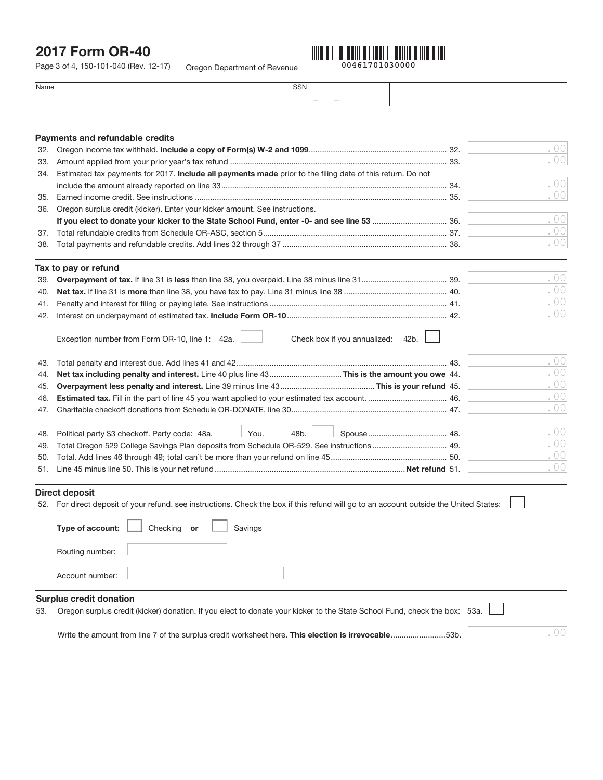## 2017 Form OR-40

Oregon Department of Revenue Page 3 of 4, 150-101-040 (Rev. 12-17)



| $\sim$ $\sim$ $\sim$<br>יו הי |  |
|-------------------------------|--|
| $\frac{1}{2}$                 |  |

|     | Payments and refundable credits                                                                            |      |
|-----|------------------------------------------------------------------------------------------------------------|------|
| 32. |                                                                                                            | .00  |
| 33. |                                                                                                            | .00  |
| 34. | Estimated tax payments for 2017. Include all payments made prior to the filing date of this return. Do not |      |
|     |                                                                                                            | .00  |
| 35. |                                                                                                            | .00  |
| 36. | Oregon surplus credit (kicker). Enter your kicker amount. See instructions.                                |      |
|     |                                                                                                            | .00  |
| 37. |                                                                                                            | .00  |
| 38. |                                                                                                            | .001 |
|     | Tax to pay or refund                                                                                       |      |
| 39. |                                                                                                            | .00  |
| 40. |                                                                                                            | .00  |
| 41. |                                                                                                            | .00  |
| 42. |                                                                                                            | .001 |
|     | Check box if you annualized:<br>Exception number from Form OR-10, line 1: 42a.<br>42 <sub>b</sub>          |      |
| 43. |                                                                                                            | .00  |
| 44. |                                                                                                            | .00  |

|                                                                                                     | .00 |
|-----------------------------------------------------------------------------------------------------|-----|
| 46. Estimated tax. Fill in the part of line 45 you want applied to your estimated tax account.  46. | .00 |
|                                                                                                     | .00 |
|                                                                                                     | .00 |
|                                                                                                     | .00 |
|                                                                                                     | .00 |
|                                                                                                     | .00 |
|                                                                                                     |     |

## Direct deposit

52. For direct deposit of your refund, see instructions. Check the box if this refund will go to an account outside the United States:

| Type of account:               | Checking or<br>$\mathbf{1}$ | Savings |                                                                                                                                                                                                                                                                                        |  |
|--------------------------------|-----------------------------|---------|----------------------------------------------------------------------------------------------------------------------------------------------------------------------------------------------------------------------------------------------------------------------------------------|--|
| Routing number:                |                             |         |                                                                                                                                                                                                                                                                                        |  |
| Account number:                |                             |         |                                                                                                                                                                                                                                                                                        |  |
| <b>Surplus credit donation</b> |                             |         | $\mathsf{FA} = \bigwedge \ldots \cup \ldots \cup \mathsf{FA}$ . It is a set of the set of the set of the set of the $\bigwedge \ldots \cup \bigwedge \ldots \cup \bigwedge \ldots \cup \bigwedge \vdots$ is a set of the final set of the set of the set of the set of $\mathsf{FA}$ . |  |

.00

53. Oregon surplus credit (kicker) donation. If you elect to donate your kicker to the State School Fund, check the box: 53a.

Write the amount from line 7 of the surplus credit worksheet here. This election is irrevocable.........................53b.